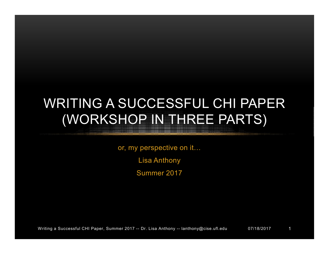# WRITING A SUCCESSFUL CHI PAPER (WORKSHOP IN THREE PARTS)

or, my perspective on it… Lisa Anthony Summer 2017

Writing a Successful CHI Paper, Summer 2017 -- Dr. Lisa Anthony -- lanthony@cise.ufl.edu 07/18/2017 1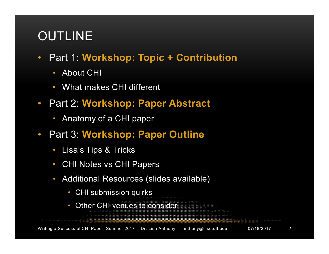## OUTLINE

- Part 1: **Workshop: Topic + Contribution**
	- About CHI
	- What makes CHI different
- Part 2: **Workshop: Paper Abstract**
	- Anatomy of a CHI paper
- Part 3: **Workshop: Paper Outline**
	- Lisa's Tips & Tricks
	- CHI Notes vs CHI Papers
	- Additional Resources (slides available)
		- CHI submission quirks
		- Other CHI venues to consider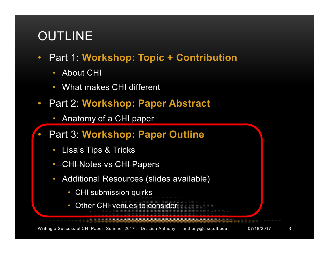## OUTLINE

- Part 1: **Workshop: Topic + Contribution**
	- **About CHI**
	- What makes CHI different
- Part 2: **Workshop: Paper Abstract**
	- Anatomy of a CHI paper
- Part 3: **Workshop: Paper Outline**
	- Lisa's Tips & Tricks
	- CHI Notes vs CHI Papers
	- Additional Resources (slides available)
		- CHI submission quirks
		- Other CHI venues to consider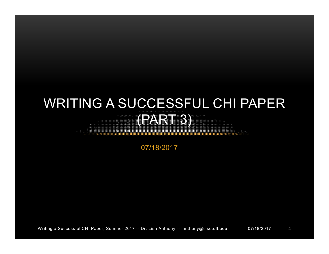# WRITING A SUCCESSFUL CHI PAPER (PART 3)

07/18/2017

Writing a Successful CHI Paper, Summer 2017 -- Dr. Lisa Anthony -- lanthony@cise.ufl.edu 07/18/2017 4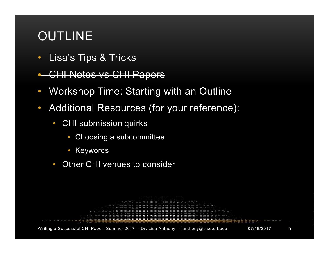## OUTLINE

- Lisa's Tips & Tricks
- **CHI Notes vs CHI Papers**
- Workshop Time: Starting with an Outline
- Additional Resources (for your reference):
	- CHI submission quirks
		- Choosing a subcommittee
		- Keywords
	- Other CHI venues to consider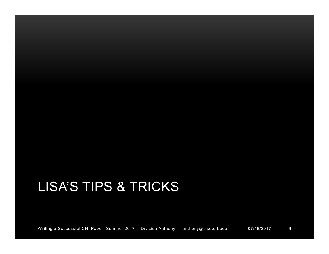# LISA'S TIPS & TRICKS

Writing a Successful CHI Paper, Summer 2017 -- Dr. Lisa Anthony -- lanthony@cise.ufl.edu 07/18/2017 6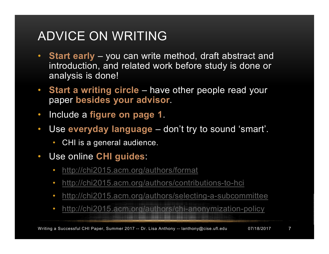### ADVICE ON WRITING

- **Start early**  you can write method, draft abstract and introduction, and related work before study is done or analysis is done!
- **Start a writing circle** have other people read your paper **besides your advisor**.
- Include a **figure on page 1**.
- Use **everyday language** don't try to sound 'smart'.
	- CHI is a general audience.
- Use online **CHI guides**:
	- http://chi2015.acm.org/authors/format
	- http://chi2015.acm.org/authors/contributions-to-hci
	- http://chi2015.acm.org/authors/selecting-a-subcommittee
	- http://chi2015.acm.org/authors/chi-anonymization-policy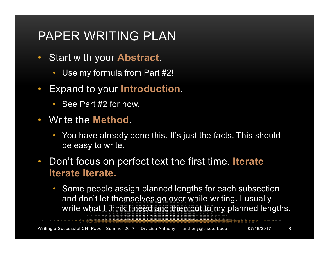### PAPER WRITING PLAN

- Start with your **Abstract**.
	- Use my formula from Part #2!
- Expand to your **Introduction**.
	- See Part #2 for how.
- Write the **Method**.
	- You have already done this. It's just the facts. This should be easy to write.
- Don't focus on perfect text the first time. **Iterate iterate iterate.**
	- Some people assign planned lengths for each subsection and don't let themselves go over while writing. I usually write what I think I need and then cut to my planned lengths.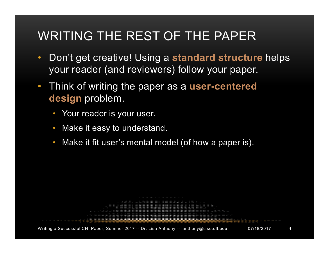## WRITING THE REST OF THE PAPER

- Don't get creative! Using a **standard structure** helps your reader (and reviewers) follow your paper.
- Think of writing the paper as a **user-centered design** problem.
	- Your reader is your user.
	- Make it easy to understand.
	- Make it fit user's mental model (of how a paper is).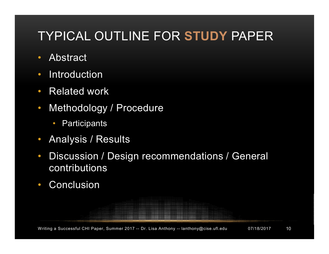## TYPICAL OUTLINE FOR **STUDY** PAPER

- Abstract
- Introduction
- Related work
- Methodology / Procedure
	- Participants
- Analysis / Results
- Discussion / Design recommendations / General contributions
- Conclusion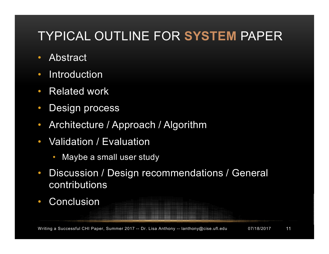### TYPICAL OUTLINE FOR **SYSTEM** PAPER

- Abstract
- Introduction
- Related work
- Design process
- Architecture / Approach / Algorithm
- Validation / Evaluation
	- Maybe a small user study
- Discussion / Design recommendations / General contributions
- Conclusion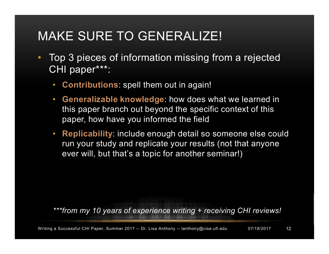### MAKE SURE TO GENERALIZE!

- Top 3 pieces of information missing from a rejected CHI paper\*\*\*:
	- **Contributions**: spell them out in again!
	- **Generalizable knowledge**: how does what we learned in this paper branch out beyond the specific context of this paper, how have you informed the field
	- **Replicability**: include enough detail so someone else could run your study and replicate your results (not that anyone ever will, but that's a topic for another seminar!)

*\*\*\*from my 10 years of experience writing + receiving CHI reviews!*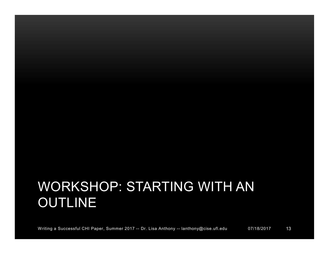# WORKSHOP: STARTING WITH AN **OUTLINE**

Writing a Successful CHI Paper, Summer 2017 -- Dr. Lisa Anthony -- lanthony@cise.ufl.edu 07/18/2017 13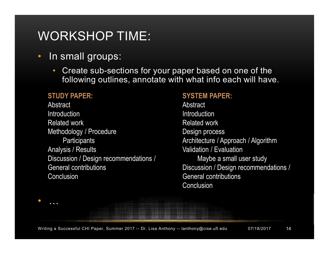### WORKSHOP TIME:

- In small groups:
	- Create sub-sections for your paper based on one of the following outlines, annotate with what info each will have.

#### **STUDY PAPER:**

• …

**Abstract Introduction** Related work Methodology / Procedure **Participants** Analysis / Results Discussion / Design recommendations / General contributions **Conclusion** 

#### **SYSTEM PAPER:**

**Abstract** Introduction Related work Design process Architecture / Approach / Algorithm Validation / Evaluation Maybe a small user study Discussion / Design recommendations / General contributions Conclusion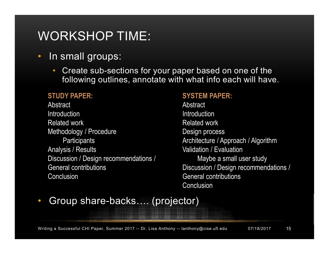### WORKSHOP TIME:

- In small groups:
	- Create sub-sections for your paper based on one of the following outlines, annotate with what info each will have.

#### **STUDY PAPER:**

**Abstract Introduction** Related work Methodology / Procedure **Participants** Analysis / Results Discussion / Design recommendations / General contributions **Conclusion** 

#### **SYSTEM PAPER:**

**Abstract** Introduction Related work Design process Architecture / Approach / Algorithm Validation / Evaluation Maybe a small user study Discussion / Design recommendations / General contributions **Conclusion** 

### • Group share-backs... (projector)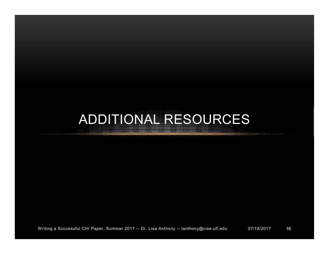# ADDITIONAL RESOURCES

Writing a Successful CHI Paper, Summer 2017 -- Dr. Lisa Anthony -- lanthony@cise.ufl.edu 07/18/2017 16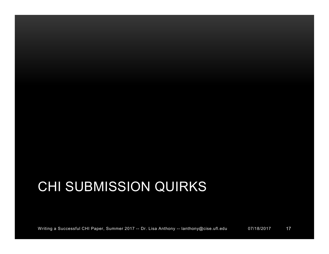# CHI SUBMISSION QUIRKS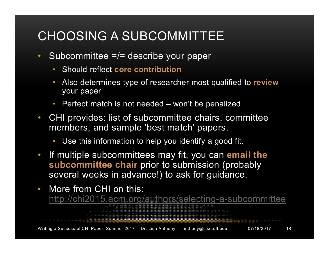### CHOOSING A SUBCOMMITTEE

- Subcommittee =/= describe your paper
	- Should reflect **core contribution**
	- Also determines type of researcher most qualified to **review** your paper
	- Perfect match is not needed won't be penalized
- CHI provides: list of subcommittee chairs, committee members, and sample 'best match' papers.
	- Use this information to help you identify a good fit.
- If multiple subcommittees may fit, you can **email the subcommittee chair** prior to submission (probably several weeks in advance!) to ask for guidance.
- More from CHI on this: http://chi2015.acm.org/authors/selecting-a-subcommittee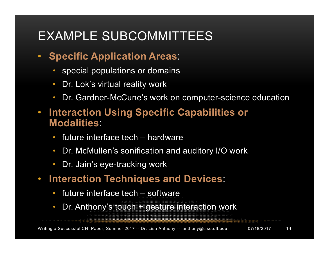### EXAMPLE SUBCOMMITTEES

### • **Specific Application Areas**:

- special populations or domains
- Dr. Lok's virtual reality work
- Dr. Gardner-McCune's work on computer-science education
- **Interaction Using Specific Capabilities or Modalities**:
	- future interface tech hardware
	- Dr. McMullen's sonification and auditory I/O work
	- Dr. Jain's eye-tracking work
- **Interaction Techniques and Devices**:
	- future interface tech software
	- Dr. Anthony's touch + gesture interaction work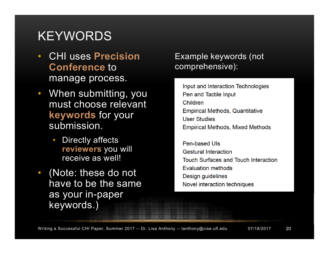### **KEYWORDS**

- CHI uses **Precision Conference** to manage process.
- When submitting, you must choose relevant **keywords** for your submission.
	- Directly affects **reviewers** you will receive as well!
- (Note: these do not have to be the same as your in-paper keywords.)

### Example keywords (not comprehensive):

Input and Interaction Technologies Pen and Tactile Input Children **Empirical Methods, Quantitative User Studies Empirical Methods, Mixed Methods** 

Pen-based Uls **Gestural Interaction Touch Surfaces and Touch Interaction Evaluation methods** Design guidelines Novel interaction techniques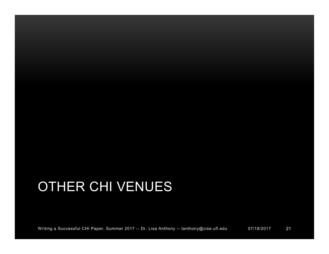# OTHER CHI VENUES

Writing a Successful CHI Paper, Summer 2017 -- Dr. Lisa Anthony -- lanthony@cise.ufl.edu 07/18/2017 21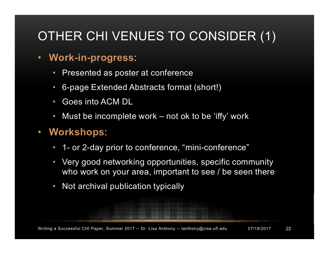# OTHER CHI VENUES TO CONSIDER (1)

- **Work-in-progress**:
	- Presented as poster at conference
	- 6-page Extended Abstracts format (short!)
	- Goes into ACM DL
	- Must be incomplete work not ok to be 'iffy' work
- **Workshops**:
	- 1- or 2-day prior to conference, "mini-conference"
	- Very good networking opportunities, specific community who work on your area, important to see / be seen there
	- Not archival publication typically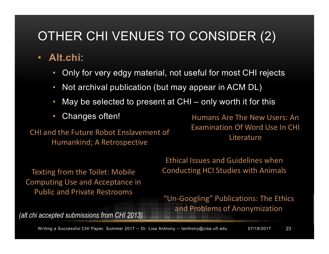## OTHER CHI VENUES TO CONSIDER (2)

- **Alt.chi**:
	- Only for very edgy material, not useful for most CHI rejects
	- Not archival publication (but may appear in ACM DL)
	- May be selected to present at CHI only worth it for this
	- Changes often!

CHI and the Future Robot Enslavement of Humankind; A Retrospective

Humans Are The New Users: An Examination Of Word Use In CHI Literature

Texting from the Toilet: Mobile Computing Use and Acceptance in Public and Private Restrooms

Ethical Issues and Guidelines when Conducting HCI Studies with Animals

"Un-Googling" Publications: The Ethics and Problems of Anonymization

*(alt.chi accepted submissions from CHI 2013)*

Writing a Successful CHI Paper, Summer 2017 -- Dr. Lisa Anthony -- lanthony@cise.ufl.edu 07/18/2017 23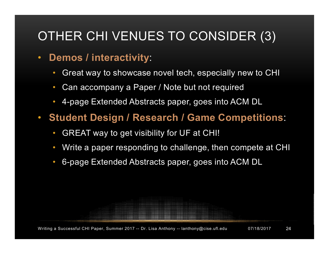## OTHER CHI VENUES TO CONSIDER (3)

### • **Demos / interactivity**:

- Great way to showcase novel tech, especially new to CHI
- Can accompany a Paper / Note but not required
- 4-page Extended Abstracts paper, goes into ACM DL
- **Student Design / Research / Game Competitions**:
	- GREAT way to get visibility for UF at CHI!
	- Write a paper responding to challenge, then compete at CHI
	- 6-page Extended Abstracts paper, goes into ACM DL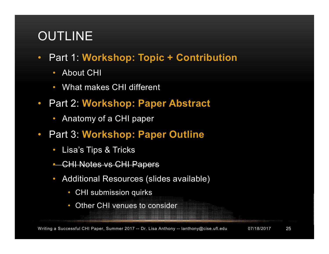## OUTLINE

- Part 1: **Workshop: Topic + Contribution**
	- About CHI
	- What makes CHI different
- Part 2: **Workshop: Paper Abstract**
	- Anatomy of a CHI paper
- Part 3: **Workshop: Paper Outline**
	- Lisa's Tips & Tricks
	- CHI Notes vs CHI Papers
	- Additional Resources (slides available)
		- CHI submission quirks
		- Other CHI venues to consider